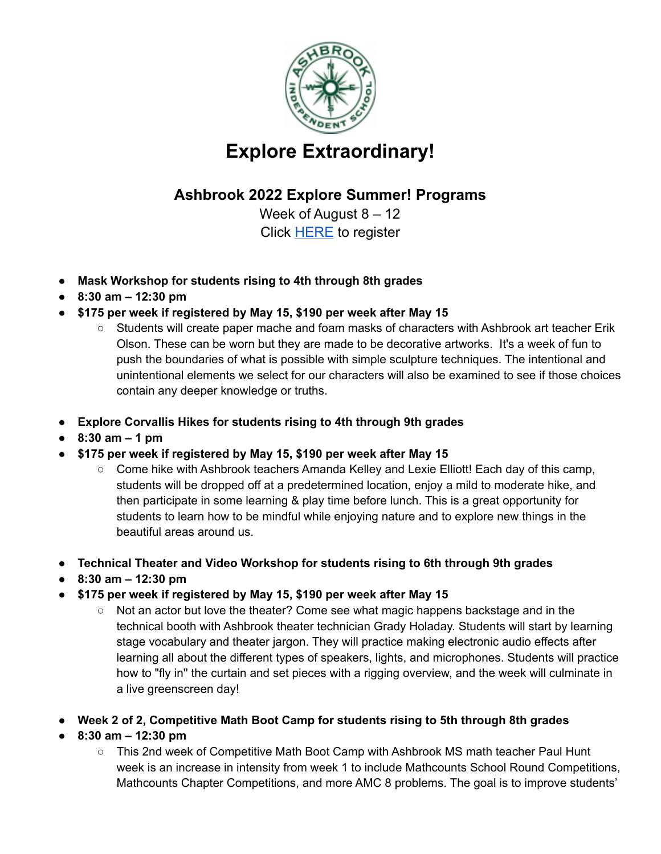

## **Explore Extraordinary!**

## **Ashbrook 2022 Explore Summer! Programs**

Week of August 8 – 12 Click [HERE](https://forms.gle/ZbCt6RwyBEhmvC1B6) to register

- **● Mask Workshop for students rising to 4th through 8th grades**
- **● 8:30 am – 12:30 pm**
- **● \$175 per week if registered by May 15, \$190 per week after May 15**
	- Students will create paper mache and foam masks of characters with Ashbrook art teacher Erik Olson. These can be worn but they are made to be decorative artworks. It's a week of fun to push the boundaries of what is possible with simple sculpture techniques. The intentional and unintentional elements we select for our characters will also be examined to see if those choices contain any deeper knowledge or truths.
- **● Explore Corvallis Hikes for students rising to 4th through 9th grades**
- **● 8:30 am – 1 pm**
- **● \$175 per week if registered by May 15, \$190 per week after May 15**
	- Come hike with Ashbrook teachers Amanda Kelley and Lexie Elliott! Each day of this camp, students will be dropped off at a predetermined location, enjoy a mild to moderate hike, and then participate in some learning & play time before lunch. This is a great opportunity for students to learn how to be mindful while enjoying nature and to explore new things in the beautiful areas around us.
- **● Technical Theater and Video Workshop for students rising to 6th through 9th grades**
- **● 8:30 am – 12:30 pm**
- **● \$175 per week if registered by May 15, \$190 per week after May 15**
	- Not an actor but love the theater? Come see what magic happens backstage and in the technical booth with Ashbrook theater technician Grady Holaday. Students will start by learning stage vocabulary and theater jargon. They will practice making electronic audio effects after learning all about the different types of speakers, lights, and microphones. Students will practice how to "fly in'' the curtain and set pieces with a rigging overview, and the week will culminate in a live greenscreen day!
- **Week 2 of 2, Competitive Math Boot Camp for students rising to 5th through 8th grades**
- **8:30 am – 12:30 pm**
	- This 2nd week of Competitive Math Boot Camp with Ashbrook MS math teacher Paul Hunt week is an increase in intensity from week 1 to include Mathcounts School Round Competitions, Mathcounts Chapter Competitions, and more AMC 8 problems. The goal is to improve students'